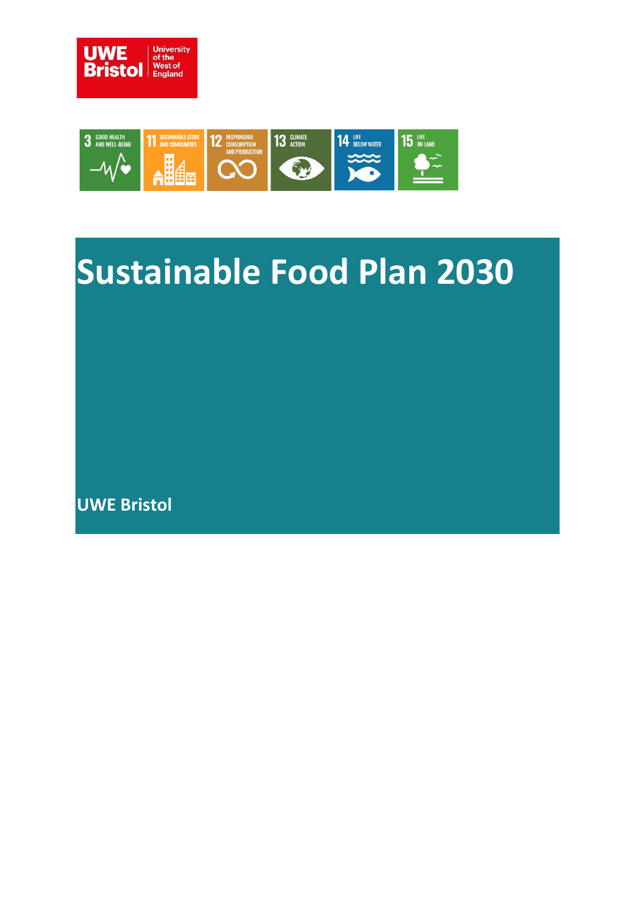



# **Sustainable Food Plan 2030**

**UWE Bristol**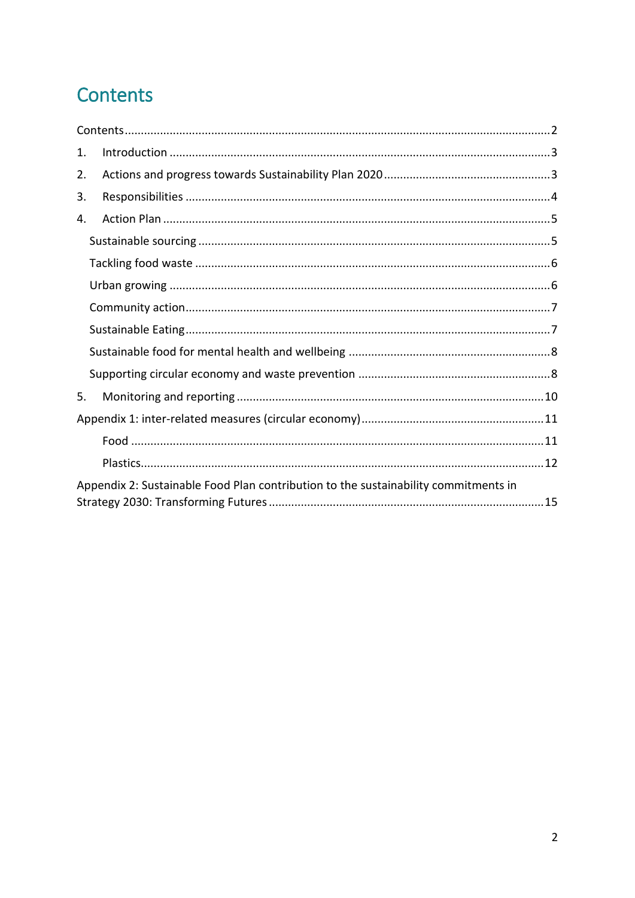# <span id="page-1-0"></span>Contents

| 1.                                                                                  |  |  |
|-------------------------------------------------------------------------------------|--|--|
| 2.                                                                                  |  |  |
| 3.                                                                                  |  |  |
| 4.                                                                                  |  |  |
|                                                                                     |  |  |
|                                                                                     |  |  |
|                                                                                     |  |  |
|                                                                                     |  |  |
|                                                                                     |  |  |
|                                                                                     |  |  |
|                                                                                     |  |  |
| 5.                                                                                  |  |  |
|                                                                                     |  |  |
|                                                                                     |  |  |
|                                                                                     |  |  |
| Appendix 2: Sustainable Food Plan contribution to the sustainability commitments in |  |  |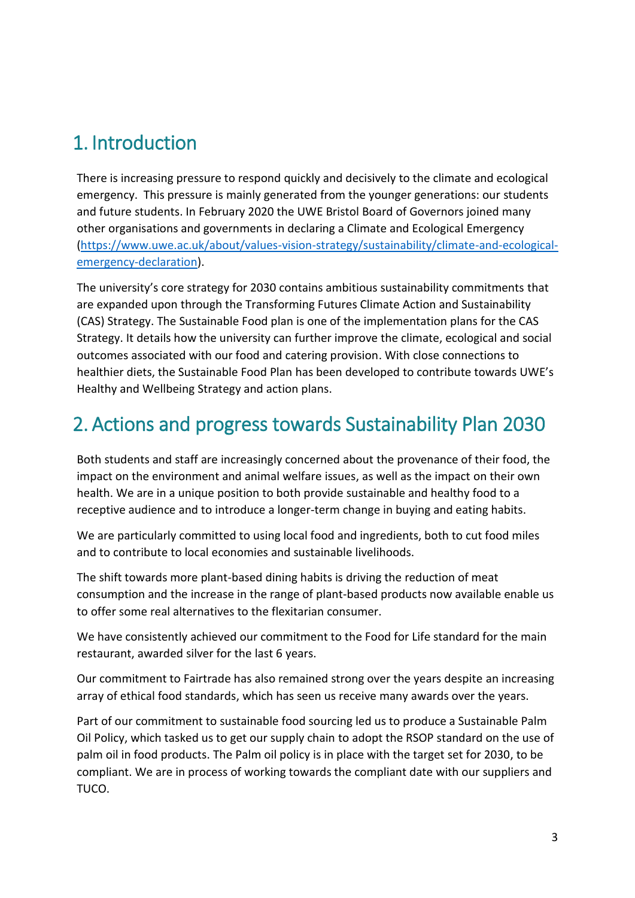## <span id="page-2-0"></span>1. Introduction

There is increasing pressure to respond quickly and decisively to the climate and ecological emergency. This pressure is mainly generated from the younger generations: our students and future students. In February 2020 the UWE Bristol Board of Governors joined many other organisations and governments in declaring a Climate and Ecological Emergency [\(https://www.uwe.ac.uk/about/values-vision-strategy/sustainability/climate-and-ecological](https://www.uwe.ac.uk/about/values-vision-strategy/sustainability/climate-and-ecological-emergency-declaration)[emergency-declaration\)](https://www.uwe.ac.uk/about/values-vision-strategy/sustainability/climate-and-ecological-emergency-declaration).

The university's core strategy for 2030 contains ambitious sustainability commitments that are expanded upon through the Transforming Futures Climate Action and Sustainability (CAS) Strategy. The Sustainable Food plan is one of the implementation plans for the CAS Strategy. It details how the university can further improve the climate, ecological and social outcomes associated with our food and catering provision. With close connections to healthier diets, the Sustainable Food Plan has been developed to contribute towards UWE's Healthy and Wellbeing Strategy and action plans.

# <span id="page-2-1"></span>2. Actions and progress towards Sustainability Plan 2030

Both students and staff are increasingly concerned about the provenance of their food, the impact on the environment and animal welfare issues, as well as the impact on their own health. We are in a unique position to both provide sustainable and healthy food to a receptive audience and to introduce a longer-term change in buying and eating habits.

We are particularly committed to using local food and ingredients, both to cut food miles and to contribute to local economies and sustainable livelihoods.

The shift towards more plant-based dining habits is driving the reduction of meat consumption and the increase in the range of plant-based products now available enable us to offer some real alternatives to the flexitarian consumer.

We have consistently achieved our commitment to the Food for Life standard for the main restaurant, awarded silver for the last 6 years.

Our commitment to Fairtrade has also remained strong over the years despite an increasing array of ethical food standards, which has seen us receive many awards over the years.

Part of our commitment to sustainable food sourcing led us to produce a Sustainable Palm Oil Policy, which tasked us to get our supply chain to adopt the RSOP standard on the use of palm oil in food products. The Palm oil policy is in place with the target set for 2030, to be compliant. We are in process of working towards the compliant date with our suppliers and TUCO.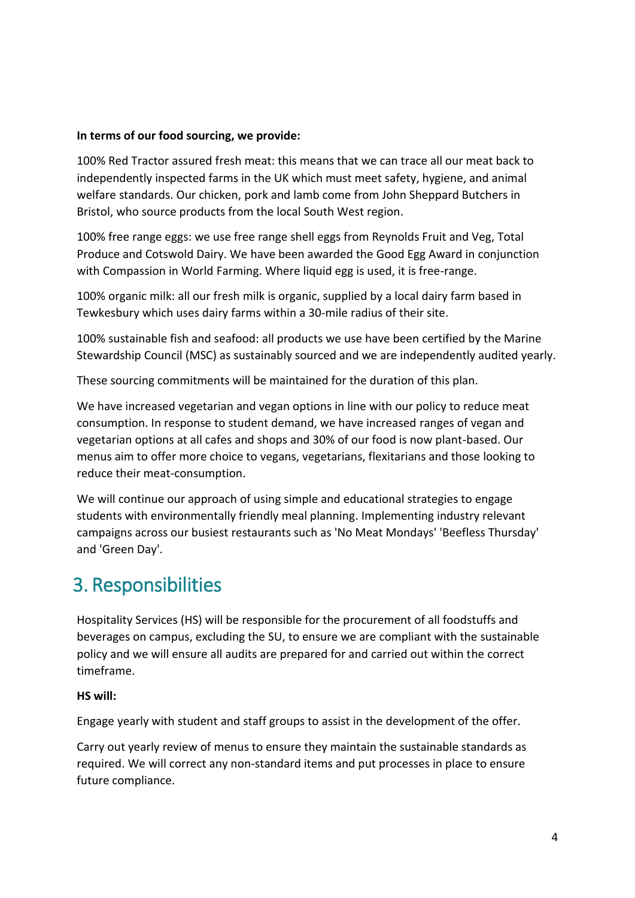#### **In terms of our food sourcing, we provide:**

100% Red Tractor assured fresh meat: this means that we can trace all our meat back to independently inspected farms in the UK which must meet safety, hygiene, and animal welfare standards. Our chicken, pork and lamb come from John Sheppard Butchers in Bristol, who source products from the local South West region.

100% free range eggs: we use free range shell eggs from Reynolds Fruit and Veg, Total Produce and Cotswold Dairy. We have been awarded the Good Egg Award in conjunction with Compassion in World Farming. Where liquid egg is used, it is free-range.

100% organic milk: all our fresh milk is organic, supplied by a local dairy farm based in Tewkesbury which uses dairy farms within a 30-mile radius of their site.

100% sustainable fish and seafood: all products we use have been certified by the Marine Stewardship Council (MSC) as sustainably sourced and we are independently audited yearly.

These sourcing commitments will be maintained for the duration of this plan.

We have increased vegetarian and vegan options in line with our policy to reduce meat consumption. In response to student demand, we have increased ranges of vegan and vegetarian options at all cafes and shops and 30% of our food is now plant-based. Our menus aim to offer more choice to vegans, vegetarians, flexitarians and those looking to reduce their meat-consumption.

We will continue our approach of using simple and educational strategies to engage students with environmentally friendly meal planning. Implementing industry relevant campaigns across our busiest restaurants such as 'No Meat Mondays' 'Beefless Thursday' and 'Green Day'.

### <span id="page-3-0"></span>3. Responsibilities

Hospitality Services (HS) will be responsible for the procurement of all foodstuffs and beverages on campus, excluding the SU, to ensure we are compliant with the sustainable policy and we will ensure all audits are prepared for and carried out within the correct timeframe.

#### **HS will:**

Engage yearly with student and staff groups to assist in the development of the offer.

Carry out yearly review of menus to ensure they maintain the sustainable standards as required. We will correct any non-standard items and put processes in place to ensure future compliance.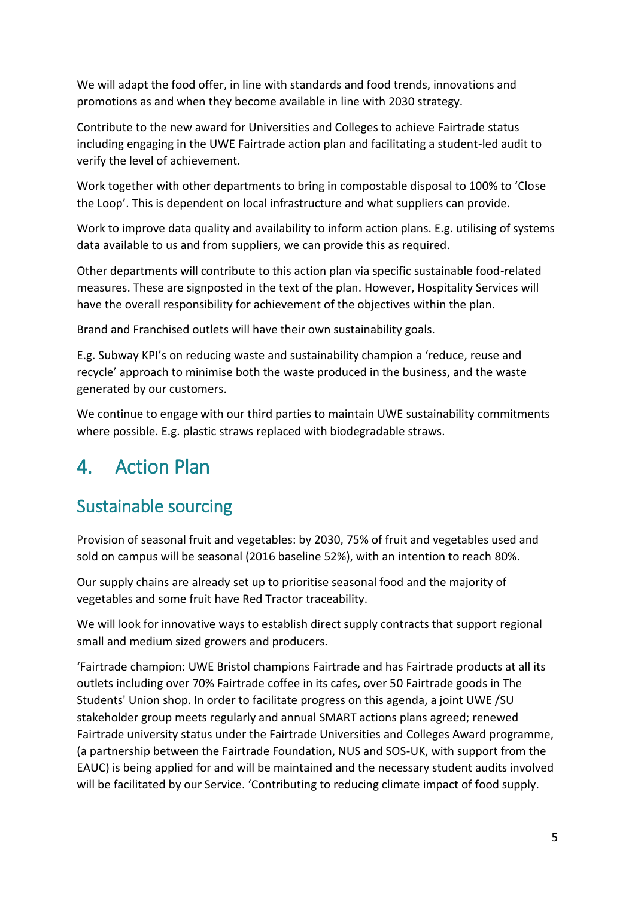We will adapt the food offer, in line with standards and food trends, innovations and promotions as and when they become available in line with 2030 strategy.

Contribute to the new award for Universities and Colleges to achieve Fairtrade status including engaging in the UWE Fairtrade action plan and facilitating a student-led audit to verify the level of achievement.

Work together with other departments to bring in compostable disposal to 100% to 'Close the Loop'. This is dependent on local infrastructure and what suppliers can provide.

Work to improve data quality and availability to inform action plans. E.g. utilising of systems data available to us and from suppliers, we can provide this as required.

Other departments will contribute to this action plan via specific sustainable food-related measures. These are signposted in the text of the plan. However, Hospitality Services will have the overall responsibility for achievement of the objectives within the plan.

Brand and Franchised outlets will have their own sustainability goals.

E.g. Subway KPI's on reducing waste and sustainability champion a 'reduce, reuse and recycle' approach to minimise both the waste produced in the business, and the waste generated by our customers.

We continue to engage with our third parties to maintain UWE sustainability commitments where possible. E.g. plastic straws replaced with biodegradable straws.

## <span id="page-4-0"></span>4. Action Plan

### <span id="page-4-1"></span>Sustainable sourcing

Provision of seasonal fruit and vegetables: by 2030, 75% of fruit and vegetables used and sold on campus will be seasonal (2016 baseline 52%), with an intention to reach 80%.

Our supply chains are already set up to prioritise seasonal food and the majority of vegetables and some fruit have Red Tractor traceability.

We will look for innovative ways to establish direct supply contracts that support regional small and medium sized growers and producers.

'Fairtrade champion: UWE Bristol champions Fairtrade and has Fairtrade products at all its outlets including over 70% Fairtrade coffee in its cafes, over 50 Fairtrade goods in The Students' Union shop. In order to facilitate progress on this agenda, a joint UWE /SU stakeholder group meets regularly and annual SMART actions plans agreed; renewed Fairtrade university status under the Fairtrade Universities and Colleges Award programme, (a partnership between the Fairtrade Foundation, NUS and SOS-UK, with support from the EAUC) is being applied for and will be maintained and the necessary student audits involved will be facilitated by our Service. 'Contributing to reducing climate impact of food supply.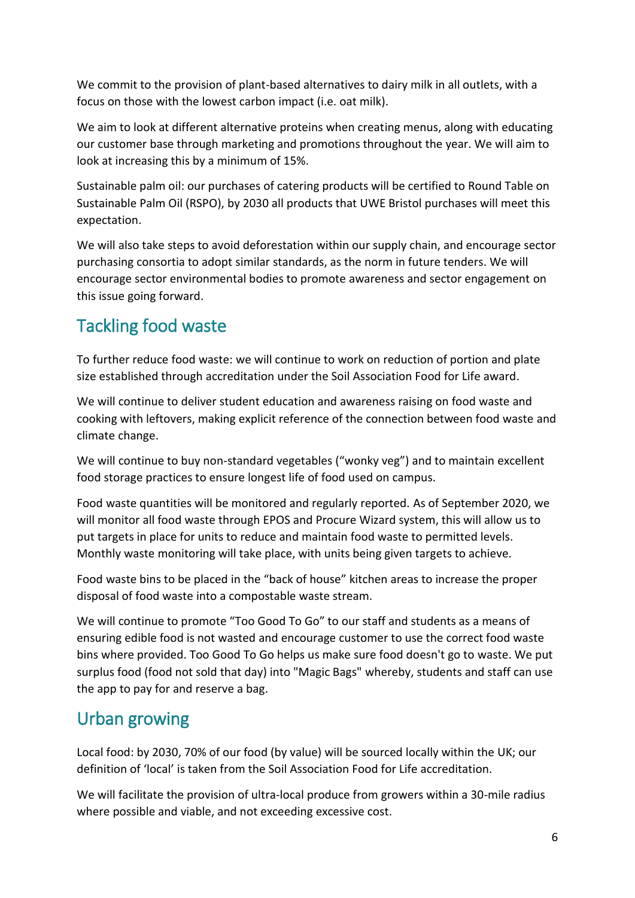We commit to the provision of plant-based alternatives to dairy milk in all outlets, with a focus on those with the lowest carbon impact (i.e. oat milk).

We aim to look at different alternative proteins when creating menus, along with educating our customer base through marketing and promotions throughout the year. We will aim to look at increasing this by a minimum of 15%.

Sustainable palm oil: our purchases of catering products will be certified to Round Table on Sustainable Palm Oil (RSPO), by 2030 all products that UWE Bristol purchases will meet this expectation.

We will also take steps to avoid deforestation within our supply chain, and encourage sector purchasing consortia to adopt similar standards, as the norm in future tenders. We will encourage sector environmental bodies to promote awareness and sector engagement on this issue going forward.

#### <span id="page-5-0"></span>Tackling food waste

To further reduce food waste: we will continue to work on reduction of portion and plate size established through accreditation under the Soil Association Food for Life award.

We will continue to deliver student education and awareness raising on food waste and cooking with leftovers, making explicit reference of the connection between food waste and climate change.

We will continue to buy non-standard vegetables ("wonky veg") and to maintain excellent food storage practices to ensure longest life of food used on campus.

Food waste quantities will be monitored and regularly reported. As of September 2020, we will monitor all food waste through EPOS and Procure Wizard system, this will allow us to put targets in place for units to reduce and maintain food waste to permitted levels. Monthly waste monitoring will take place, with units being given targets to achieve.

Food waste bins to be placed in the "back of house" kitchen areas to increase the proper disposal of food waste into a compostable waste stream.

We will continue to promote "Too Good To Go" to our staff and students as a means of ensuring edible food is not wasted and encourage customer to use the correct food waste bins where provided. Too Good To Go helps us make sure food doesn't go to waste. We put surplus food (food not sold that day) into "Magic Bags" whereby, students and staff can use the app to pay for and reserve a bag.

#### <span id="page-5-1"></span>Urban growing

Local food: by 2030, 70% of our food (by value) will be sourced locally within the UK; our definition of 'local' is taken from the Soil Association Food for Life accreditation.

We will facilitate the provision of ultra-local produce from growers within a 30-mile radius where possible and viable, and not exceeding excessive cost.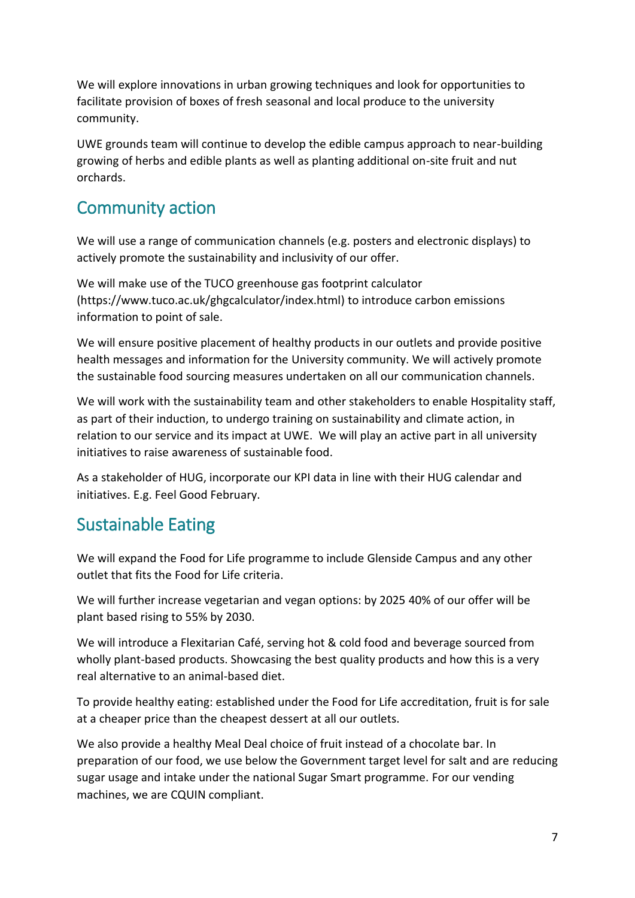We will explore innovations in urban growing techniques and look for opportunities to facilitate provision of boxes of fresh seasonal and local produce to the university community.

UWE grounds team will continue to develop the edible campus approach to near-building growing of herbs and edible plants as well as planting additional on-site fruit and nut orchards.

#### <span id="page-6-0"></span>Community action

We will use a range of communication channels (e.g. posters and electronic displays) to actively promote the sustainability and inclusivity of our offer.

We will make use of the TUCO greenhouse gas footprint calculator [\(https://www.tuco.ac.uk/ghgcalculator/index.html\)](https://www.tuco.ac.uk/ghgcalculator/index.html) to introduce carbon emissions information to point of sale.

We will ensure positive placement of healthy products in our outlets and provide positive health messages and information for the University community. We will actively promote the sustainable food sourcing measures undertaken on all our communication channels.

We will work with the sustainability team and other stakeholders to enable Hospitality staff, as part of their induction, to undergo training on sustainability and climate action, in relation to our service and its impact at UWE. We will play an active part in all university initiatives to raise awareness of sustainable food.

As a stakeholder of HUG, incorporate our KPI data in line with their HUG calendar and initiatives. E.g. Feel Good February.

#### <span id="page-6-1"></span>Sustainable Eating

We will expand the Food for Life programme to include Glenside Campus and any other outlet that fits the Food for Life criteria.

We will further increase vegetarian and vegan options: by 2025 40% of our offer will be plant based rising to 55% by 2030.

We will introduce a Flexitarian Café, serving hot & cold food and beverage sourced from wholly plant-based products. Showcasing the best quality products and how this is a very real alternative to an animal-based diet.

To provide healthy eating: established under the Food for Life accreditation, fruit is for sale at a cheaper price than the cheapest dessert at all our outlets.

We also provide a healthy Meal Deal choice of fruit instead of a chocolate bar. In preparation of our food, we use below the Government target level for salt and are reducing sugar usage and intake under the national Sugar Smart programme. For our vending machines, we are CQUIN compliant.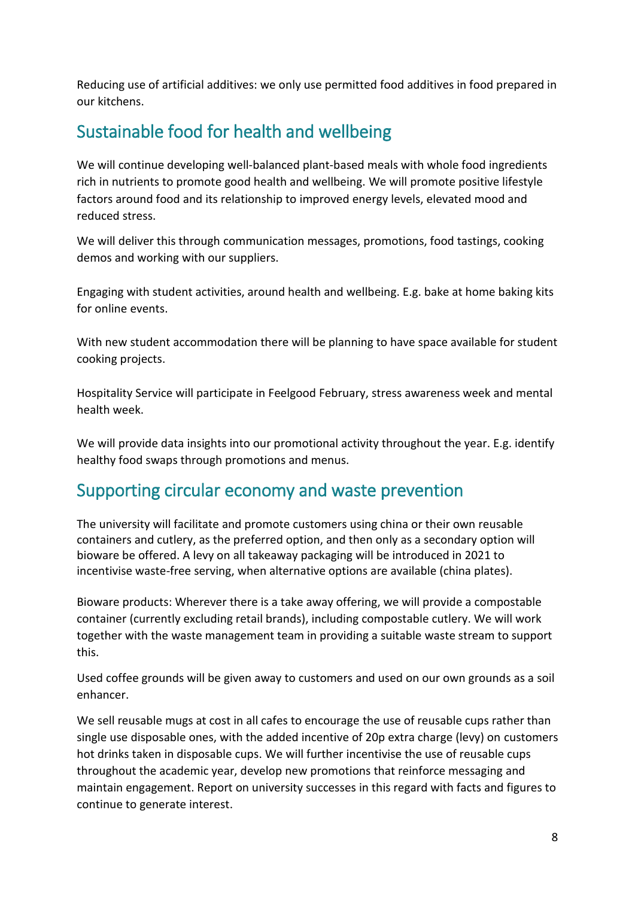Reducing use of artificial additives: we only use permitted food additives in food prepared in our kitchens.

#### <span id="page-7-0"></span>Sustainable food for health and wellbeing

We will continue developing well-balanced plant-based meals with whole food ingredients rich in nutrients to promote good health and wellbeing. We will promote positive lifestyle factors around food and its relationship to improved energy levels, elevated mood and reduced stress.

We will deliver this through communication messages, promotions, food tastings, cooking demos and working with our suppliers.

Engaging with student activities, around health and wellbeing. E.g. bake at home baking kits for online events.

With new student accommodation there will be planning to have space available for student cooking projects.

Hospitality Service will participate in Feelgood February, stress awareness week and mental health week.

We will provide data insights into our promotional activity throughout the year. E.g. identify healthy food swaps through promotions and menus.

#### <span id="page-7-1"></span>Supporting circular economy and waste prevention

The university will facilitate and promote customers using china or their own reusable containers and cutlery, as the preferred option, and then only as a secondary option will bioware be offered. A levy on all takeaway packaging will be introduced in 2021 to incentivise waste-free serving, when alternative options are available (china plates).

Bioware products: Wherever there is a take away offering, we will provide a compostable container (currently excluding retail brands), including compostable cutlery. We will work together with the waste management team in providing a suitable waste stream to support this.

Used coffee grounds will be given away to customers and used on our own grounds as a soil enhancer.

We sell reusable mugs at cost in all cafes to encourage the use of reusable cups rather than single use disposable ones, with the added incentive of 20p extra charge (levy) on customers hot drinks taken in disposable cups. We will further incentivise the use of reusable cups throughout the academic year, develop new promotions that reinforce messaging and maintain engagement. Report on university successes in this regard with facts and figures to continue to generate interest.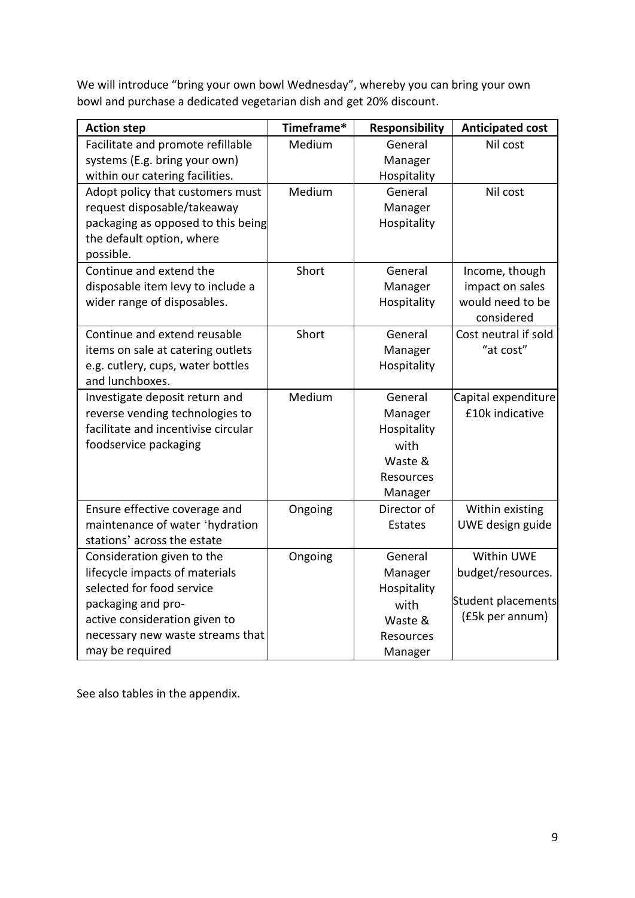We will introduce "bring your own bowl Wednesday", whereby you can bring your own bowl and purchase a dedicated vegetarian dish and get 20% discount.

| <b>Action step</b>                                                     | Timeframe* | <b>Responsibility</b> | <b>Anticipated cost</b>                |
|------------------------------------------------------------------------|------------|-----------------------|----------------------------------------|
| Facilitate and promote refillable                                      | Medium     | General               | Nil cost                               |
| systems (E.g. bring your own)                                          |            | Manager               |                                        |
| within our catering facilities.                                        |            | Hospitality           |                                        |
| Adopt policy that customers must                                       | Medium     | General               | Nil cost                               |
| request disposable/takeaway                                            |            | Manager               |                                        |
| packaging as opposed to this being                                     |            | Hospitality           |                                        |
| the default option, where                                              |            |                       |                                        |
| possible.                                                              |            |                       |                                        |
| Continue and extend the                                                | Short      | General               | Income, though                         |
| disposable item levy to include a                                      |            | Manager               | impact on sales                        |
| wider range of disposables.                                            |            | Hospitality           | would need to be                       |
|                                                                        |            |                       | considered                             |
| Continue and extend reusable                                           | Short      | General               | Cost neutral if sold                   |
| items on sale at catering outlets                                      |            | Manager               | "at cost"                              |
| e.g. cutlery, cups, water bottles                                      |            | Hospitality           |                                        |
| and lunchboxes.                                                        |            |                       |                                        |
| Investigate deposit return and                                         | Medium     | General               | Capital expenditure<br>£10k indicative |
| reverse vending technologies to<br>facilitate and incentivise circular |            | Manager               |                                        |
|                                                                        |            | Hospitality           |                                        |
| foodservice packaging                                                  |            | with                  |                                        |
|                                                                        |            | Waste &               |                                        |
|                                                                        |            | <b>Resources</b>      |                                        |
|                                                                        |            | Manager               |                                        |
| Ensure effective coverage and                                          | Ongoing    | Director of           | Within existing                        |
| maintenance of water 'hydration                                        |            | <b>Estates</b>        | UWE design guide                       |
| stations' across the estate                                            |            |                       |                                        |
| Consideration given to the                                             | Ongoing    | General               | Within UWE                             |
| lifecycle impacts of materials                                         |            | Manager               | budget/resources.                      |
| selected for food service                                              |            | Hospitality           |                                        |
| packaging and pro-                                                     |            | with                  | Student placements<br>(£5k per annum)  |
| active consideration given to                                          |            | Waste &               |                                        |
| necessary new waste streams that                                       |            | Resources             |                                        |
| may be required                                                        |            | Manager               |                                        |

See also tables in the appendix.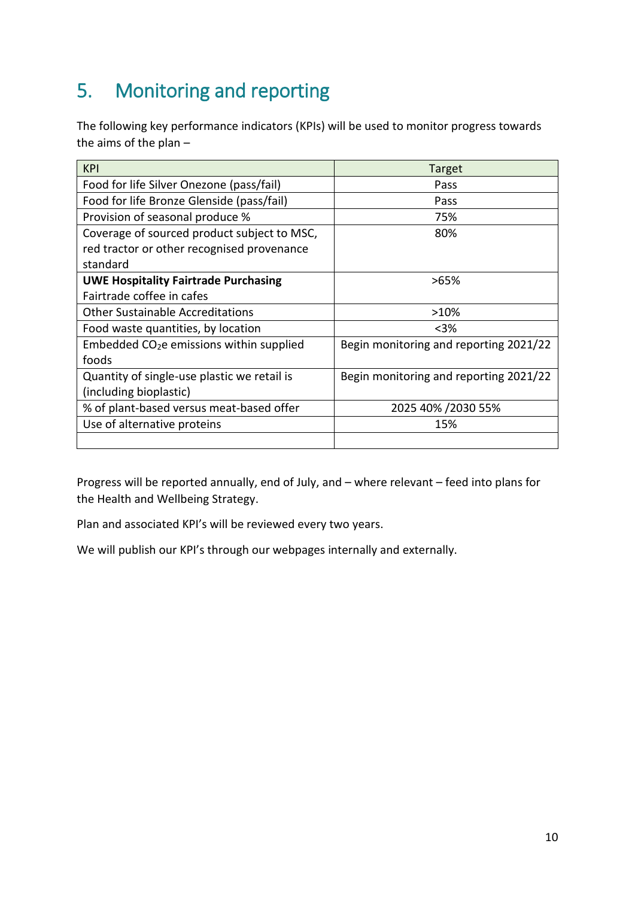# <span id="page-9-0"></span>5. Monitoring and reporting

The following key performance indicators (KPIs) will be used to monitor progress towards the aims of the plan –

| <b>KPI</b>                                  | Target                                 |
|---------------------------------------------|----------------------------------------|
| Food for life Silver Onezone (pass/fail)    | Pass                                   |
| Food for life Bronze Glenside (pass/fail)   | Pass                                   |
| Provision of seasonal produce %             | 75%                                    |
| Coverage of sourced product subject to MSC, | 80%                                    |
| red tractor or other recognised provenance  |                                        |
| standard                                    |                                        |
| <b>UWE Hospitality Fairtrade Purchasing</b> | >65%                                   |
| Fairtrade coffee in cafes                   |                                        |
| <b>Other Sustainable Accreditations</b>     | >10%                                   |
| Food waste quantities, by location          | $<$ 3%                                 |
| Embedded $CO2e$ emissions within supplied   | Begin monitoring and reporting 2021/22 |
| foods                                       |                                        |
| Quantity of single-use plastic we retail is | Begin monitoring and reporting 2021/22 |
| (including bioplastic)                      |                                        |
| % of plant-based versus meat-based offer    | 2025 40% / 2030 55%                    |
| Use of alternative proteins                 | 15%                                    |
|                                             |                                        |

Progress will be reported annually, end of July, and – where relevant – feed into plans for the Health and Wellbeing Strategy.

Plan and associated KPI's will be reviewed every two years.

We will publish our KPI's through our webpages internally and externally.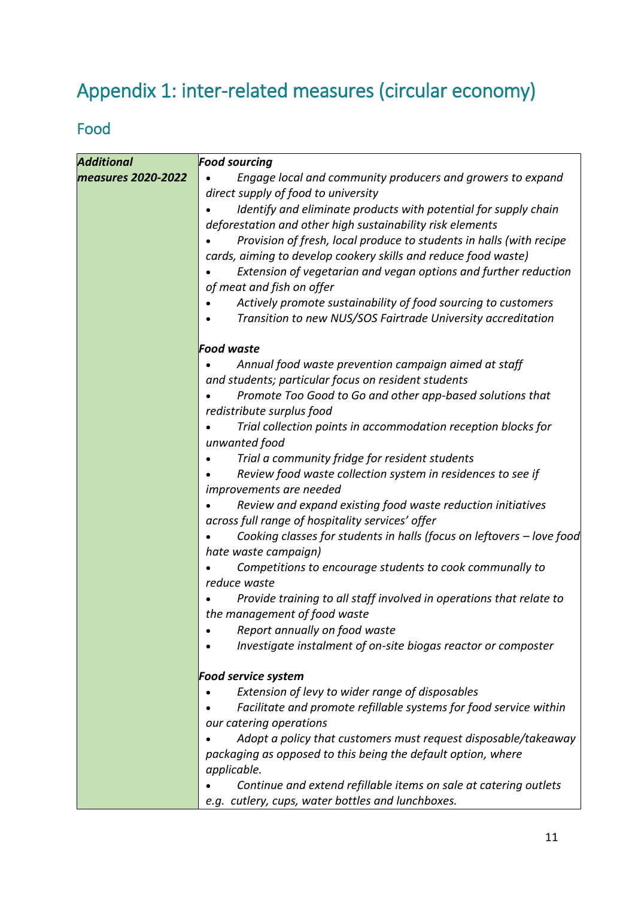# <span id="page-10-0"></span>Appendix 1: inter-related measures (circular economy)

#### <span id="page-10-1"></span>Food

| <b>Additional</b>  | <b>Food sourcing</b>                                                  |
|--------------------|-----------------------------------------------------------------------|
| measures 2020-2022 | Engage local and community producers and growers to expand            |
|                    | direct supply of food to university                                   |
|                    | Identify and eliminate products with potential for supply chain       |
|                    | deforestation and other high sustainability risk elements             |
|                    | Provision of fresh, local produce to students in halls (with recipe   |
|                    | cards, aiming to develop cookery skills and reduce food waste)        |
|                    | Extension of vegetarian and vegan options and further reduction       |
|                    | of meat and fish on offer                                             |
|                    | Actively promote sustainability of food sourcing to customers         |
|                    | Transition to new NUS/SOS Fairtrade University accreditation          |
|                    | <b>Food waste</b>                                                     |
|                    | Annual food waste prevention campaign aimed at staff                  |
|                    | and students; particular focus on resident students                   |
|                    | Promote Too Good to Go and other app-based solutions that             |
|                    | redistribute surplus food                                             |
|                    | Trial collection points in accommodation reception blocks for         |
|                    | unwanted food                                                         |
|                    | Trial a community fridge for resident students                        |
|                    | Review food waste collection system in residences to see if           |
|                    | improvements are needed                                               |
|                    | Review and expand existing food waste reduction initiatives           |
|                    | across full range of hospitality services' offer                      |
|                    | Cooking classes for students in halls (focus on leftovers - love food |
|                    | hate waste campaign)                                                  |
|                    | Competitions to encourage students to cook communally to              |
|                    | reduce waste                                                          |
|                    | Provide training to all staff involved in operations that relate to   |
|                    | the management of food waste                                          |
|                    | Report annually on food waste                                         |
|                    | Investigate instalment of on-site biogas reactor or composter         |
|                    | <b>Food service system</b>                                            |
|                    | Extension of levy to wider range of disposables                       |
|                    | Facilitate and promote refillable systems for food service within     |
|                    | our catering operations                                               |
|                    | Adopt a policy that customers must request disposable/takeaway        |
|                    | packaging as opposed to this being the default option, where          |
|                    | applicable.                                                           |
|                    | Continue and extend refillable items on sale at catering outlets      |
|                    | e.g. cutlery, cups, water bottles and lunchboxes.                     |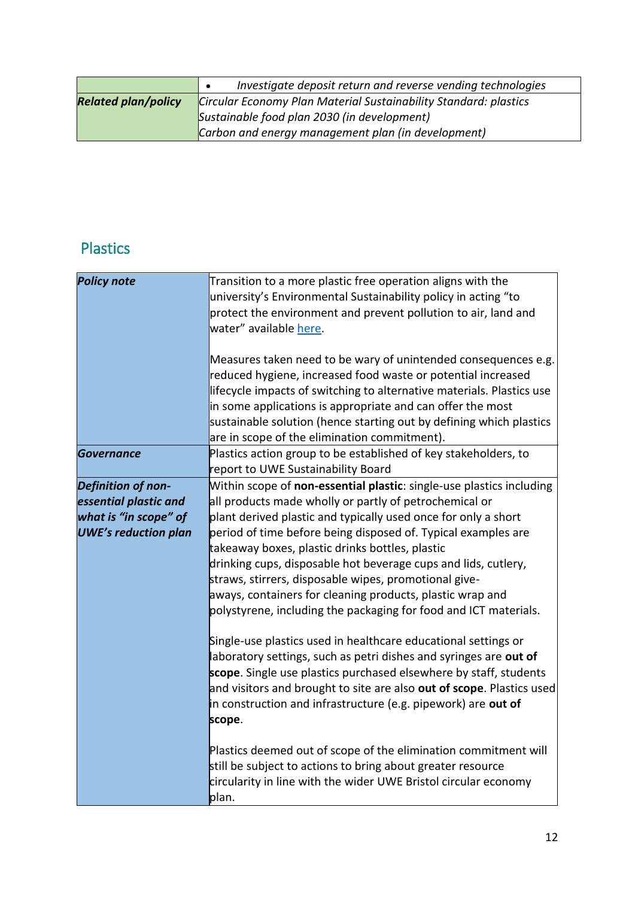|                                                                                                | Investigate deposit return and reverse vending technologies |
|------------------------------------------------------------------------------------------------|-------------------------------------------------------------|
| <b>Related plan/policy</b><br>Circular Economy Plan Material Sustainability Standard: plastics |                                                             |
|                                                                                                | Sustainable food plan 2030 (in development)                 |
|                                                                                                | Carbon and energy management plan (in development)          |

### <span id="page-11-0"></span>Plastics

| <b>Policy note</b>          | Transition to a more plastic free operation aligns with the               |
|-----------------------------|---------------------------------------------------------------------------|
|                             | university's Environmental Sustainability policy in acting "to            |
|                             | protect the environment and prevent pollution to air, land and            |
|                             | water" available here.                                                    |
|                             |                                                                           |
|                             | Measures taken need to be wary of unintended consequences e.g.            |
|                             | reduced hygiene, increased food waste or potential increased              |
|                             | lifecycle impacts of switching to alternative materials. Plastics use     |
|                             | in some applications is appropriate and can offer the most                |
|                             | sustainable solution (hence starting out by defining which plastics       |
|                             | are in scope of the elimination commitment).                              |
| Governance                  | Plastics action group to be established of key stakeholders, to           |
|                             | report to UWE Sustainability Board                                        |
| <b>Definition of non-</b>   | Within scope of non-essential plastic: single-use plastics including      |
| essential plastic and       | all products made wholly or partly of petrochemical or                    |
| what is "in scope" of       | plant derived plastic and typically used once for only a short            |
| <b>UWE's reduction plan</b> | period of time before being disposed of. Typical examples are             |
|                             | takeaway boxes, plastic drinks bottles, plastic                           |
|                             | drinking cups, disposable hot beverage cups and lids, cutlery,            |
|                             | straws, stirrers, disposable wipes, promotional give-                     |
|                             | aways, containers for cleaning products, plastic wrap and                 |
|                             | polystyrene, including the packaging for food and ICT materials.          |
|                             | Single-use plastics used in healthcare educational settings or            |
|                             | laboratory settings, such as petri dishes and syringes are out of         |
|                             | <b>scope</b> . Single use plastics purchased elsewhere by staff, students |
|                             | and visitors and brought to site are also out of scope. Plastics used     |
|                             | in construction and infrastructure (e.g. pipework) are out of             |
|                             | scope.                                                                    |
|                             | Plastics deemed out of scope of the elimination commitment will           |
|                             | still be subject to actions to bring about greater resource               |
|                             | circularity in line with the wider UWE Bristol circular economy           |
|                             | plan.                                                                     |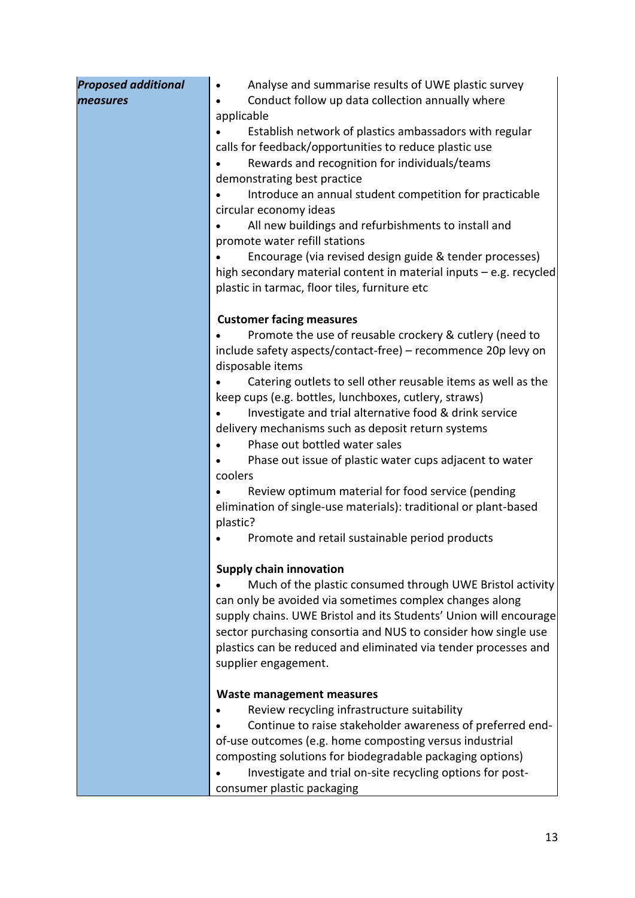| <b>Proposed additional</b> | Analyse and summarise results of UWE plastic survey                               |
|----------------------------|-----------------------------------------------------------------------------------|
| measures                   | Conduct follow up data collection annually where                                  |
|                            | applicable                                                                        |
|                            | Establish network of plastics ambassadors with regular                            |
|                            | calls for feedback/opportunities to reduce plastic use                            |
|                            | Rewards and recognition for individuals/teams                                     |
|                            | demonstrating best practice                                                       |
|                            | Introduce an annual student competition for practicable                           |
|                            | circular economy ideas                                                            |
|                            | All new buildings and refurbishments to install and                               |
|                            | promote water refill stations                                                     |
|                            | Encourage (via revised design guide & tender processes)                           |
|                            | high secondary material content in material inputs - e.g. recycled                |
|                            | plastic in tarmac, floor tiles, furniture etc                                     |
|                            | <b>Customer facing measures</b>                                                   |
|                            | Promote the use of reusable crockery & cutlery (need to                           |
|                            | include safety aspects/contact-free) - recommence 20p levy on<br>disposable items |
|                            | Catering outlets to sell other reusable items as well as the                      |
|                            | keep cups (e.g. bottles, lunchboxes, cutlery, straws)                             |
|                            | Investigate and trial alternative food & drink service                            |
|                            | delivery mechanisms such as deposit return systems                                |
|                            | Phase out bottled water sales                                                     |
|                            | Phase out issue of plastic water cups adjacent to water                           |
|                            | coolers                                                                           |
|                            | Review optimum material for food service (pending                                 |
|                            | elimination of single-use materials): traditional or plant-based                  |
|                            | plastic?                                                                          |
|                            | Promote and retail sustainable period products                                    |
|                            | <b>Supply chain innovation</b>                                                    |
|                            | Much of the plastic consumed through UWE Bristol activity                         |
|                            | can only be avoided via sometimes complex changes along                           |
|                            | supply chains. UWE Bristol and its Students' Union will encourage                 |
|                            | sector purchasing consortia and NUS to consider how single use                    |
|                            | plastics can be reduced and eliminated via tender processes and                   |
|                            | supplier engagement.                                                              |
|                            | <b>Waste management measures</b>                                                  |
|                            | Review recycling infrastructure suitability                                       |
|                            | Continue to raise stakeholder awareness of preferred end-                         |
|                            | of-use outcomes (e.g. home composting versus industrial                           |
|                            | composting solutions for biodegradable packaging options)                         |
|                            | Investigate and trial on-site recycling options for post-                         |
|                            | consumer plastic packaging                                                        |
|                            |                                                                                   |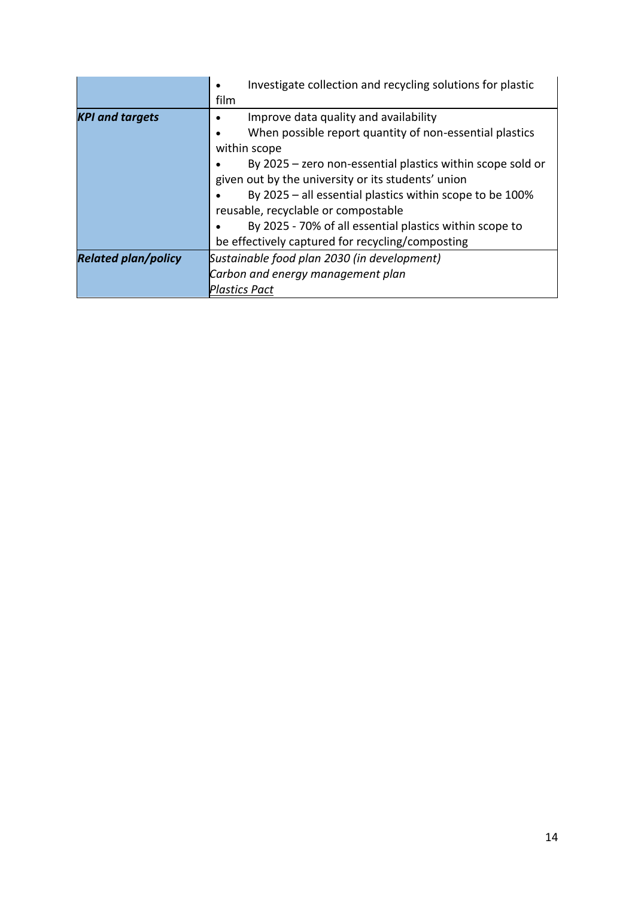|                            | Investigate collection and recycling solutions for plastic |
|----------------------------|------------------------------------------------------------|
|                            | film                                                       |
| <b>KPI and targets</b>     | Improve data quality and availability                      |
|                            | When possible report quantity of non-essential plastics    |
|                            | within scope                                               |
|                            | By 2025 - zero non-essential plastics within scope sold or |
|                            | given out by the university or its students' union         |
|                            | By 2025 - all essential plastics within scope to be 100%   |
|                            | reusable, recyclable or compostable                        |
|                            | By 2025 - 70% of all essential plastics within scope to    |
|                            | be effectively captured for recycling/composting           |
| <b>Related plan/policy</b> | Sustainable food plan 2030 (in development)                |
|                            | Carbon and energy management plan                          |
|                            | <b>Plastics Pact</b>                                       |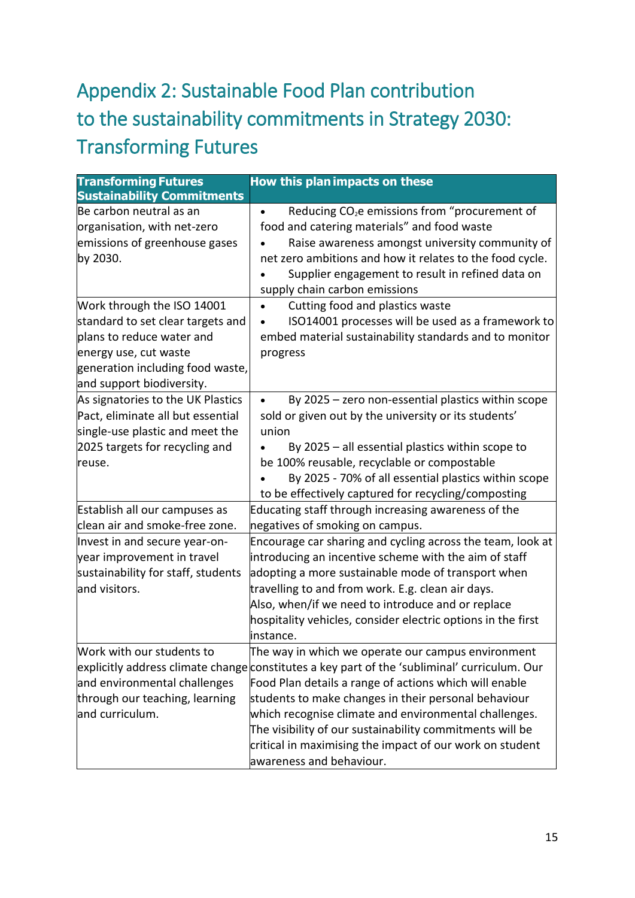# <span id="page-14-0"></span>Appendix 2: Sustainable Food Plan contribution to the sustainability commitments in Strategy 2030: Transforming Futures

| <b>Transforming Futures</b>                                                                                                                                                            | How this plan impacts on these                                                                                                                                                                                                                                                                                                                                                                                                                                                    |
|----------------------------------------------------------------------------------------------------------------------------------------------------------------------------------------|-----------------------------------------------------------------------------------------------------------------------------------------------------------------------------------------------------------------------------------------------------------------------------------------------------------------------------------------------------------------------------------------------------------------------------------------------------------------------------------|
| <b>Sustainability Commitments</b>                                                                                                                                                      |                                                                                                                                                                                                                                                                                                                                                                                                                                                                                   |
| Be carbon neutral as an<br>organisation, with net-zero<br>emissions of greenhouse gases<br>by 2030.                                                                                    | Reducing CO <sub>2</sub> e emissions from "procurement of<br>food and catering materials" and food waste<br>Raise awareness amongst university community of<br>net zero ambitions and how it relates to the food cycle.<br>Supplier engagement to result in refined data on<br>supply chain carbon emissions                                                                                                                                                                      |
| Work through the ISO 14001<br>standard to set clear targets and<br>plans to reduce water and<br>energy use, cut waste<br>generation including food waste,<br>and support biodiversity. | Cutting food and plastics waste<br>ISO14001 processes will be used as a framework to<br>embed material sustainability standards and to monitor<br>progress                                                                                                                                                                                                                                                                                                                        |
| As signatories to the UK Plastics<br>Pact, eliminate all but essential<br>single-use plastic and meet the<br>2025 targets for recycling and<br>reuse.<br>Establish all our campuses as | By 2025 - zero non-essential plastics within scope<br>sold or given out by the university or its students'<br>union<br>By 2025 - all essential plastics within scope to<br>be 100% reusable, recyclable or compostable<br>By 2025 - 70% of all essential plastics within scope<br>to be effectively captured for recycling/composting<br>Educating staff through increasing awareness of the                                                                                      |
| clean air and smoke-free zone.                                                                                                                                                         | negatives of smoking on campus.                                                                                                                                                                                                                                                                                                                                                                                                                                                   |
| Invest in and secure year-on-<br>year improvement in travel<br>sustainability for staff, students<br>and visitors.                                                                     | Encourage car sharing and cycling across the team, look at<br>introducing an incentive scheme with the aim of staff<br>adopting a more sustainable mode of transport when<br>travelling to and from work. E.g. clean air days.<br>Also, when/if we need to introduce and or replace<br>hospitality vehicles, consider electric options in the first<br>instance.                                                                                                                  |
| Work with our students to<br>and environmental challenges<br>through our teaching, learning<br>and curriculum.                                                                         | The way in which we operate our campus environment<br>explicitly address climate change constitutes a key part of the 'subliminal' curriculum. Our<br>Food Plan details a range of actions which will enable<br>students to make changes in their personal behaviour<br>which recognise climate and environmental challenges.<br>The visibility of our sustainability commitments will be<br>critical in maximising the impact of our work on student<br>awareness and behaviour. |